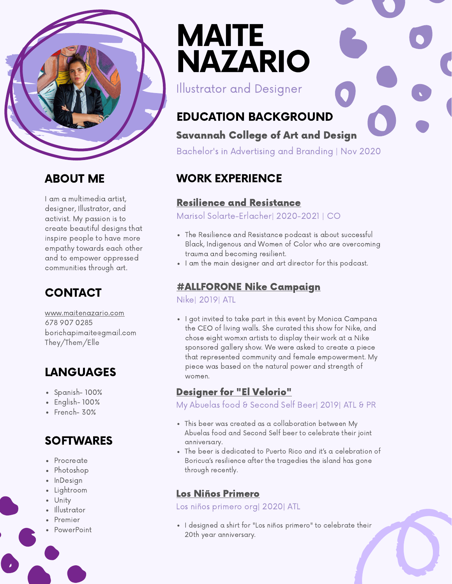

### ABOUT ME

I am a multimedia artist, designer, Illustrator, and activist. My passion is to create beautiful designs that inspire people to have more empathy towards each other and to empower oppressed communities through art.

## **CONTACT**

[www.maitenazario.com](https://www.maitenazario.com/) 678 907 0285 borichapimaite@gmail.com They/Them/Elle

## LANGUAGES

- $\bullet$  Spanish- 100%
- $\cdot$  English- 100%
- French- 30%
- **SOFTWARES**
- Procreate
- Photoshop
- InDesign
- Lightroom
- Unity
- Illustrator
- Premier
- PowerPoint

# MAITE NAZARIO

Illustrator and Designer

## EDUCATION BACKGROUND

#### Savannah College of Art and Design

Bachelor's in Advertising and Branding | Nov 2020

## WORK EXPERIENCE

#### Resilience and [Resistance](https://www.maitenazario.com/resilience-resistance)

Marisol Solarte-Erlacher| 2020-2021 | CO

- The Resilience and Resistance podcast is about successful Black, Indigenous and Women of Color who are overcoming trauma and becoming resilient.
- I am the main designer and art director for this podcast.

#### [#ALLFORONE](https://www.maitenazario.com/nike) Nike Campaign

Nike| 2019| ATL

• I got invited to take part in this event by Monica Campana the CEO of living walls. She curated this show for Nike, and chose eight womxn artists to display their work at a Nike sponsored gallery show. We were asked to create a piece that represented community and female empowerment. My piece was based on the natural power and strength of women.

#### [Designer](https://www.maitenazario.com/advertising-1) for "El Velorio"

My Abuelas food & Second Self Beer| 2019| ATL & PR

- This beer was created as a collaboration between My Abuelas food and Second Self beer to celebrate their joint anniversary.
- The beer is dedicated to Puerto Rico and it's a celebration of Boricua's resilience after the tragedies the island has gone through recently.

#### Los Niños [Primero](https://www.maitenazario.com/los-ni%C3%B1os-primero)

Los niños primero org| 2020| ATL

• I designed a shirt for "Los niños primero" to celebrate their 20th year anniversary.